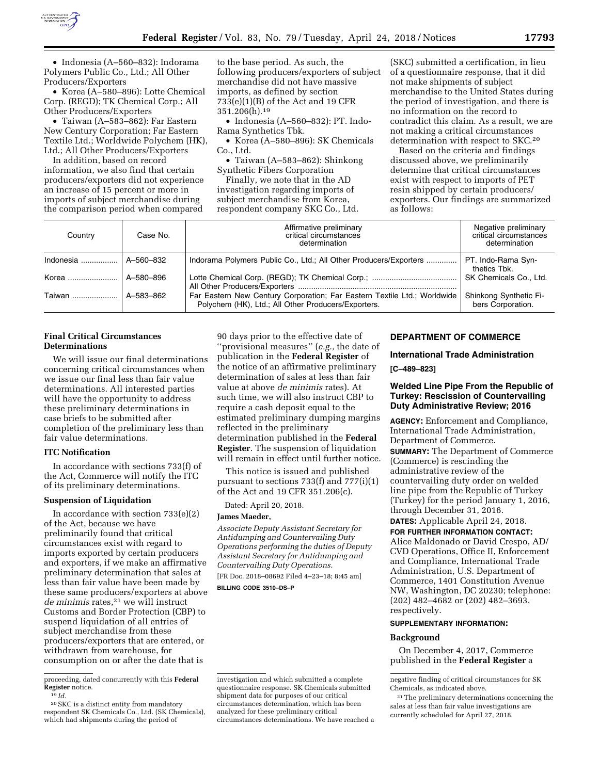

• Indonesia (A–560–832): Indorama Polymers Public Co., Ltd.; All Other Producers/Exporters

• Korea (A–580–896): Lotte Chemical Corp. (REGD); TK Chemical Corp.; All Other Producers/Exporters

• Taiwan (A–583–862): Far Eastern New Century Corporation; Far Eastern Textile Ltd.; Worldwide Polychem (HK), Ltd.; All Other Producers/Exporters

In addition, based on record information, we also find that certain producers/exporters did not experience an increase of 15 percent or more in imports of subject merchandise during the comparison period when compared

to the base period. As such, the following producers/exporters of subject merchandise did not have massive imports, as defined by section 733(e)(1)(B) of the Act and 19 CFR 351.206(h).19

• Indonesia (A–560–832): PT. Indo-Rama Synthetics Tbk.

• Korea (A–580–896): SK Chemicals Co., Ltd.

• Taiwan (A–583–862): Shinkong Synthetic Fibers Corporation

Finally, we note that in the AD investigation regarding imports of subject merchandise from Korea, respondent company SKC Co., Ltd.

(SKC) submitted a certification, in lieu of a questionnaire response, that it did not make shipments of subject merchandise to the United States during the period of investigation, and there is no information on the record to contradict this claim. As a result, we are not making a critical circumstances determination with respect to SKC.20

Based on the criteria and findings discussed above, we preliminarily determine that critical circumstances exist with respect to imports of PET resin shipped by certain producers/ exporters. Our findings are summarized as follows:

| Country                | Case No.  | Affirmative preliminary<br>critical circumstances<br>determination                                                              | Negative preliminary<br>critical circumstances<br>determination |
|------------------------|-----------|---------------------------------------------------------------------------------------------------------------------------------|-----------------------------------------------------------------|
| Indonesia    A-560-832 |           | Indorama Polymers Public Co., Ltd.; All Other Producers/Exporters                                                               | PT. Indo-Rama Syn-<br>thetics Tbk.                              |
| Korea                  | A-580-896 |                                                                                                                                 | SK Chemicals Co., Ltd.                                          |
| Taiwan                 | A-583-862 | Far Eastern New Century Corporation; Far Eastern Textile Ltd.; Worldwide<br>Polychem (HK), Ltd.; All Other Producers/Exporters. | Shinkong Synthetic Fi-<br>bers Corporation.                     |

# **Final Critical Circumstances Determinations**

We will issue our final determinations concerning critical circumstances when we issue our final less than fair value determinations. All interested parties will have the opportunity to address these preliminary determinations in case briefs to be submitted after completion of the preliminary less than fair value determinations.

# **ITC Notification**

In accordance with sections 733(f) of the Act, Commerce will notify the ITC of its preliminary determinations.

# **Suspension of Liquidation**

In accordance with section 733(e)(2) of the Act, because we have preliminarily found that critical circumstances exist with regard to imports exported by certain producers and exporters, if we make an affirmative preliminary determination that sales at less than fair value have been made by these same producers/exporters at above *de minimis* rates,21 we will instruct Customs and Border Protection (CBP) to suspend liquidation of all entries of subject merchandise from these producers/exporters that are entered, or withdrawn from warehouse, for consumption on or after the date that is

20SKC is a distinct entity from mandatory respondent SK Chemicals Co., Ltd. (SK Chemicals), which had shipments during the period of

90 days prior to the effective date of ''provisional measures'' (*e.g.,* the date of publication in the **Federal Register** of the notice of an affirmative preliminary determination of sales at less than fair value at above *de minimis* rates). At such time, we will also instruct CBP to require a cash deposit equal to the estimated preliminary dumping margins reflected in the preliminary determination published in the **Federal Register**. The suspension of liquidation will remain in effect until further notice.

This notice is issued and published pursuant to sections 733(f) and 777(i)(1) of the Act and 19 CFR 351.206(c).

Dated: April 20, 2018.

#### **James Maeder,**

*Associate Deputy Assistant Secretary for Antidumping and Countervailing Duty Operations performing the duties of Deputy Assistant Secretary for Antidumping and Countervailing Duty Operations.*  [FR Doc. 2018–08692 Filed 4–23–18; 8:45 am]

**BILLING CODE 3510–DS–P** 

### **DEPARTMENT OF COMMERCE**

**International Trade Administration** 

**[C–489–823]** 

## **Welded Line Pipe From the Republic of Turkey: Rescission of Countervailing Duty Administrative Review; 2016**

**AGENCY:** Enforcement and Compliance, International Trade Administration, Department of Commerce.

**SUMMARY:** The Department of Commerce (Commerce) is rescinding the administrative review of the countervailing duty order on welded line pipe from the Republic of Turkey (Turkey) for the period January 1, 2016, through December 31, 2016.

**DATES:** Applicable April 24, 2018.

**FOR FURTHER INFORMATION CONTACT:** 

Alice Maldonado or David Crespo, AD/ CVD Operations, Office II, Enforcement and Compliance, International Trade Administration, U.S. Department of Commerce, 1401 Constitution Avenue NW, Washington, DC 20230; telephone: (202) 482–4682 or (202) 482–3693, respectively.

# **SUPPLEMENTARY INFORMATION:**

#### **Background**

On December 4, 2017, Commerce published in the **Federal Register** a

proceeding, dated concurrently with this **Federal Register** notice. 19 *Id.* 

investigation and which submitted a complete questionnaire response. SK Chemicals submitted shipment data for purposes of our critical circumstances determination, which has been analyzed for these preliminary critical circumstances determinations. We have reached a

negative finding of critical circumstances for SK Chemicals, as indicated above.

<sup>21</sup>The preliminary determinations concerning the sales at less than fair value investigations are currently scheduled for April 27, 2018.